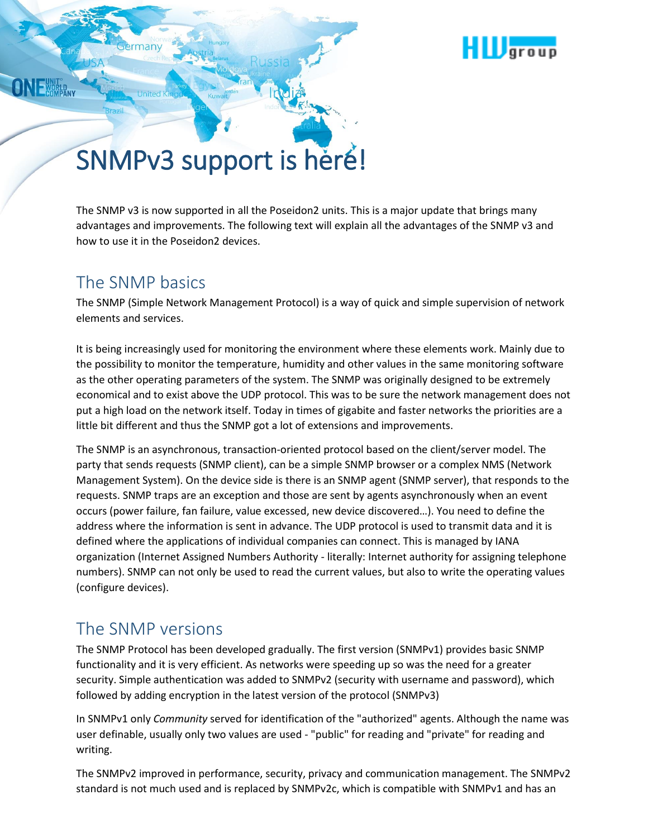

# SNMPv3 support is here!

The SNMP v3 is now supported in all the Poseidon2 units. This is a major update that brings many advantages and improvements. The following text will explain all the advantages of the SNMP v3 and how to use it in the Poseidon2 devices.

# The SNMP basics

an

The SNMP (Simple Network Management Protocol) is a way of quick and simple supervision of network elements and services.

It is being increasingly used for monitoring the environment where these elements work. Mainly due to the possibility to monitor the temperature, humidity and other values in the same monitoring software as the other operating parameters of the system. The SNMP was originally designed to be extremely economical and to exist above the UDP protocol. This was to be sure the network management does not put a high load on the network itself. Today in times of gigabite and faster networks the priorities are a little bit different and thus the SNMP got a lot of extensions and improvements.

The SNMP is an asynchronous, transaction-oriented protocol based on the client/server model. The party that sends requests (SNMP client), can be a simple SNMP browser or a complex NMS (Network Management System). On the device side is there is an SNMP agent (SNMP server), that responds to the requests. SNMP traps are an exception and those are sent by agents asynchronously when an event occurs (power failure, fan failure, value excessed, new device discovered…). You need to define the address where the information is sent in advance. The UDP protocol is used to transmit data and it is defined where the applications of individual companies can connect. This is managed by IANA organization (Internet Assigned Numbers Authority - literally: Internet authority for assigning telephone numbers). SNMP can not only be used to read the current values, but also to write the operating values (configure devices).

# The SNMP versions

The SNMP Protocol has been developed gradually. The first version (SNMPv1) provides basic SNMP functionality and it is very efficient. As networks were speeding up so was the need for a greater security. Simple authentication was added to SNMPv2 (security with username and password), which followed by adding encryption in the latest version of the protocol (SNMPv3)

In SNMPv1 only *Community* served for identification of the "authorized" agents. Although the name was user definable, usually only two values are used - "public" for reading and "private" for reading and writing.

The SNMPv2 improved in performance, security, privacy and communication management. The SNMPv2 standard is not much used and is replaced by SNMPv2c, which is compatible with SNMPv1 and has an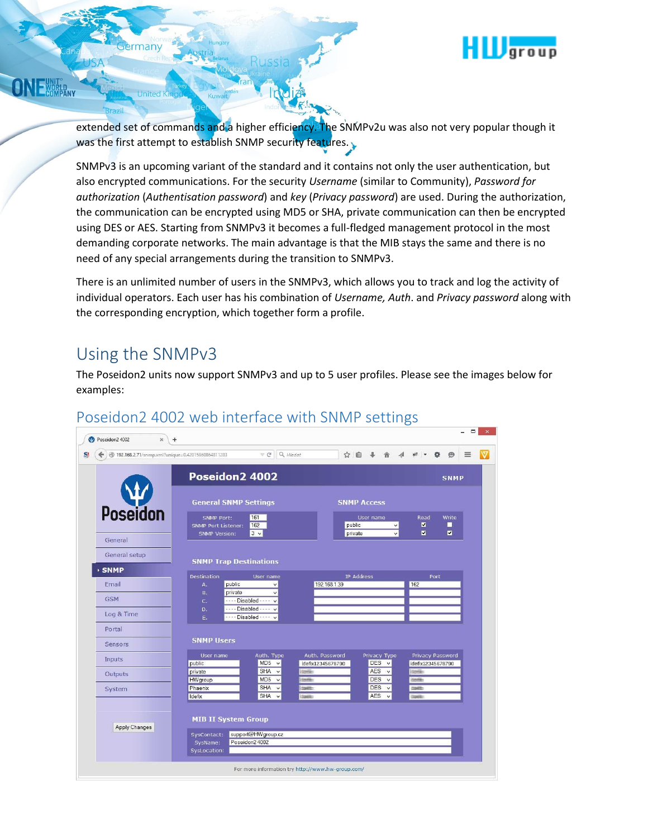

extended set of commands and a higher efficiency. The SNMPv2u was also not very popular though it was the first attempt to establish SNMP security features.

Irta

SNMPv3 is an upcoming variant of the standard and it contains not only the user authentication, but also encrypted communications. For the security *Username* (similar to Community), *Password for authorization* (*Authentisation password*) and *key* (*Privacy password*) are used. During the authorization, the communication can be encrypted using MD5 or SHA, private communication can then be encrypted using DES or AES. Starting from SNMPv3 it becomes a full-fledged management protocol in the most demanding corporate networks. The main advantage is that the MIB stays the same and there is no need of any special arrangements during the transition to SNMPv3.

There is an unlimited number of users in the SNMPv3, which allows you to track and log the activity of individual operators. Each user has his combination of *Username, Auth*. and *Privacy password* along with the corresponding encryption, which together form a profile.

# Using the SNMPv3

many

**United Ki** 

The Poseidon2 units now support SNMPv3 and up to 5 user profiles. Please see the images below for examples:



#### Poseidon2 4002 web interface with SNMP settings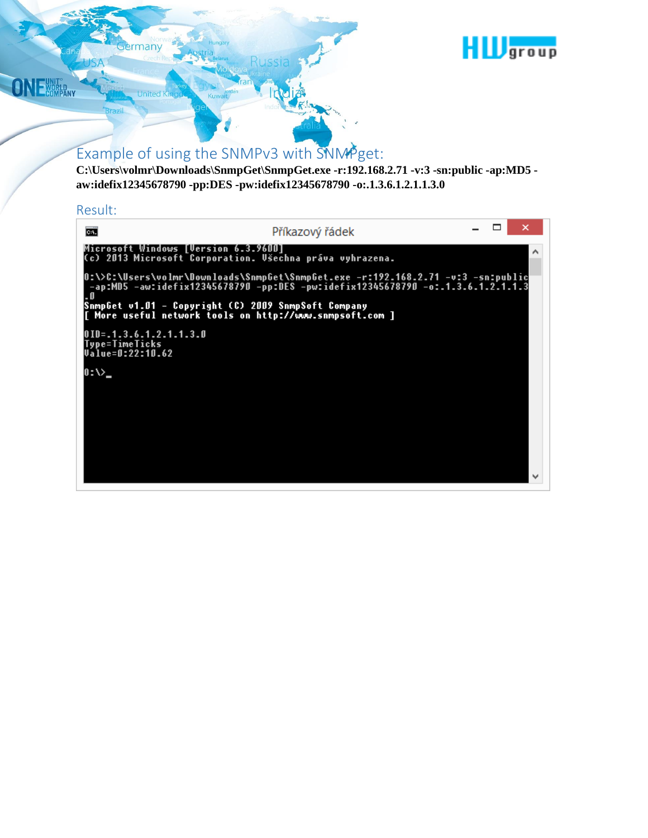

# Example of using the SNMPv3 with SNMPget:

**C:\Users\volmr\Downloads\SnmpGet\SnmpGet.exe -r:192.168.2.71 -v:3 -sn:public -ap:MD5 aw:idefix12345678790 -pp:DES -pw:idefix12345678790 -o:.1.3.6.1.2.1.1.3.0**

#### Result:

**ONE WORLD** 

rmany

**United King** 

| <b>CH.</b>                                                                        | Příkazový řádek                                                                                                                                                     |  |  |
|-----------------------------------------------------------------------------------|---------------------------------------------------------------------------------------------------------------------------------------------------------------------|--|--|
| Microsoft Windows [Version 6.3.9600]                                              | (c) 2013 Microsoft Corporation. Všechna práva vyhrazena.                                                                                                            |  |  |
|                                                                                   | O:\>C:\Users\volmr\Downloads\SnmpGet\SnmpGet.exe -r:192.168.2.71 -v:3 -sn:public<br>-ap:MD5 -aw:idefix12345678790 -pp:DES -pw:idefix12345678790 -o:.1.3.6.1.2.1.1.3 |  |  |
|                                                                                   | SnmpGet v1.01 - Copyright (C) 2009 SnmpSoft Company<br>[ More useful network tools on http://www.snmpsoft.com ]                                                     |  |  |
| 0 I D = . 1 . 3 . 6 . 1 . 2 . 1 . 1 . 3 . 0<br>Type=TimeTicks<br>Value=0:22:10.62 |                                                                                                                                                                     |  |  |
| 0 : \>.                                                                           |                                                                                                                                                                     |  |  |
|                                                                                   |                                                                                                                                                                     |  |  |
|                                                                                   |                                                                                                                                                                     |  |  |
|                                                                                   |                                                                                                                                                                     |  |  |
|                                                                                   |                                                                                                                                                                     |  |  |